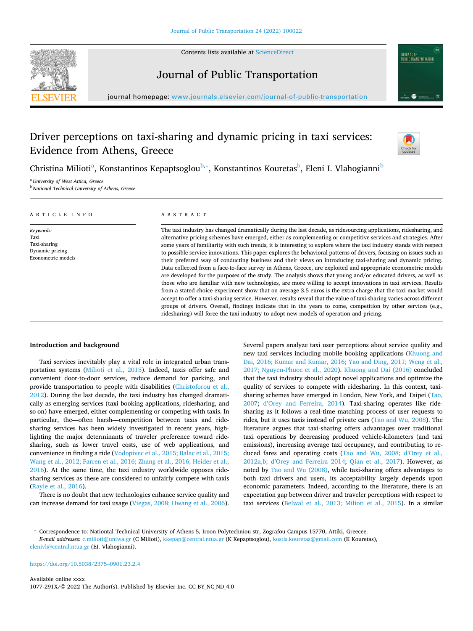

Contents lists available at [ScienceDirect](http://www.sciencedirect.com/science/journal/1077291X)

# Journal of Public Transportation



journal homepage: [www.journals.elsevier.com/journal-of-public-transportation](https://www.journals.elsevier.com/journal-of-public-transportation)

# Driver perceptions on taxi-sharing and dynamic pricing in taxi services: Evidence from Athens, Greece



Christin[a](#page-0-0) Milioti<sup>a</sup>, Konstantinos Kepaptsoglou<sup>[b,](#page-0-1)</sup>\*, Konstantinos Kouretas<sup>[b](#page-0-1)</sup>, Eleni I. Vlahogianni<sup>b</sup>

<span id="page-0-0"></span><sup>a</sup> *University of West Attica, Greece*

<span id="page-0-1"></span><sup>b</sup> *National Technical University of Athens, Greece*

| ARTICLE INFO                                                               | ABSTRACT                                                                                                                                                                                                                                                                                                                                                                                                                                                                                                                                                                                                                                                                                                                                                                                                                                                                                                                                                                                                                                                                                                                                                                                                                                                                                                                                                                                                       |
|----------------------------------------------------------------------------|----------------------------------------------------------------------------------------------------------------------------------------------------------------------------------------------------------------------------------------------------------------------------------------------------------------------------------------------------------------------------------------------------------------------------------------------------------------------------------------------------------------------------------------------------------------------------------------------------------------------------------------------------------------------------------------------------------------------------------------------------------------------------------------------------------------------------------------------------------------------------------------------------------------------------------------------------------------------------------------------------------------------------------------------------------------------------------------------------------------------------------------------------------------------------------------------------------------------------------------------------------------------------------------------------------------------------------------------------------------------------------------------------------------|
| Keywords:<br>Taxi<br>Taxi-sharing<br>Dynamic pricing<br>Econometric models | The taxi industry has changed dramatically during the last decade, as ridesourcing applications, ridesharing, and<br>alternative pricing schemes have emerged, either as complementing or competitive services and strategies. After<br>some years of familiarity with such trends, it is interesting to explore where the taxi industry stands with respect<br>to possible service innovations. This paper explores the behavioral patterns of drivers, focusing on issues such as<br>their preferred way of conducting business and their views on introducing taxi-sharing and dynamic pricing.<br>Data collected from a face-to-face survey in Athens, Greece, are exploited and appropriate econometric models<br>are developed for the purposes of the study. The analysis shows that young and/or educated drivers, as well as<br>those who are familiar with new technologies, are more willing to accept innovations in taxi services. Results<br>from a stated choice experiment show that on average 3.5 euros is the extra charge that the taxi market would<br>accept to offer a taxi-sharing service. However, results reveal that the value of taxi-sharing varies across different<br>groups of drivers. Overall, findings indicate that in the years to come, competition by other services (e.g.,<br>ridesharing) will force the taxi industry to adopt new models of operation and pricing. |

# **Introduction and background**

Taxi services inevitably play a vital role in integrated urban transportation systems ([Milioti](#page-5-0) et al., 2015). Indeed, taxis offer safe and convenient door-to-door services, reduce demand for parking, and provide transportation to people with disabilities ([Christoforou](#page-5-1) et al., [2012\)](#page-5-1). During the last decade, the taxi industry has changed dramatically as emerging services (taxi booking applications, ridesharing, and so on) have emerged, either complementing or competing with taxis. In particular, the—often harsh—competition between taxis and ridesharing services has been widely investigated in recent years, highlighting the major determinants of traveler preference toward ridesharing, such as lower travel costs, use of web applications, and convenience in finding a ride ([Vodopivec](#page-5-2) et al., 2015; Balac et al., 2015; Wang et al., 2012; Farren et al., 2016; Zhang et al., 2016; [Heider](#page-5-2) et al., [2016\)](#page-5-2). At the same time, the taxi industry worldwide opposes ridesharing services as these are considered to unfairly compete with taxis ([Rayle](#page-5-3) et al., 2016).

There is no doubt that new technologies enhance service quality and can increase demand for taxi usage [\(Viegas,](#page-5-4) 2008; Hwang et al., 2006).

Several papers analyze taxi user perceptions about service quality and new taxi services including mobile booking applications [\(Khuong](#page-5-5) and Dai, 2016; Kumar and [Kumar,](#page-5-5) 2016; Yao and Ding, 2011; Weng et al., 2017; [Nguyen-Phuoc](#page-5-5) et al., 2020). [Khuong](#page-5-5) and Dai (2016) concluded that the taxi industry should adopt novel applications and optimize the quality of services to compete with ridesharing. In this context, taxisharing schemes have emerged in London, New York, and Taipei [\(Tao,](#page-5-6) [2007;](#page-5-6) d'Orey and [Ferreira,](#page-5-7) 2014). Taxi-sharing operates like ridesharing as it follows a real-time matching process of user requests to rides, but it uses taxis instead of private cars (Tao and Wu, [2008\)](#page-5-8). The literature argues that taxi-sharing offers advantages over traditional taxi operations by decreasing produced vehicle-kilometers (and taxi emissions), increasing average taxi occupancy, and contributing to reduced fares and operating costs (Tao and Wu, 2008; [d'Orey](#page-5-9) et al., [2012a,b;](#page-5-9) d'Orey and Ferreira 2014; Qian et al., [2017\)](#page-5-10). However, as noted by Tao and Wu [\(2008\),](#page-5-8) while taxi-sharing offers advantages to both taxi drivers and users, its acceptability largely depends upon economic parameters. Indeed, according to the literature, there is an expectation gap between driver and traveler perceptions with respect to taxi services [\(Belwal](#page-5-11) et al., 2013; Milioti et al., 2015). In a similar

<span id="page-0-2"></span><sup>⁎</sup> Correspondence to: Nationtal Technical University of Athens 5, Iroon Polytechniou str, Zografou Campus 15770, Attiki, Greecee. *E-mail addresses:* [c.milioti@uniwa.gr](mailto:c.milioti@uniwa.gr) (C Milioti), [kkepap@central.ntua.gr](mailto:kkepap@central.ntua.gr) (K Kepaptsoglou), [kostis.kouretas@gmail.com](mailto:kostis.kouretas@gmail.com) (K Kouretas), [elenivl@central.ntua.gr](mailto:elenivl@central.ntua.gr) (EI. Vlahogianni).

[https://doi.org/10.5038/2375–0901.23.2.4](https://doi.org/10.5038/2375-0901.23.2.4)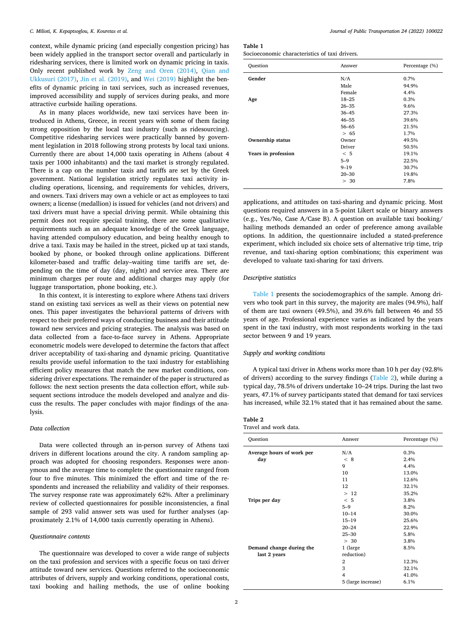context, while dynamic pricing (and especially congestion pricing) has been widely applied in the transport sector overall and particularly in ridesharing services, there is limited work on dynamic pricing in taxis. Only recent published work by Zeng and Oren [\(2014\),](#page-5-12) [Qian](#page-5-13) and [Ukkusuri](#page-5-13) (2017), Jin et al. [\(2019\)](#page-5-14), and Wei [\(2019\)](#page-5-15) highlight the benefits of dynamic pricing in taxi services, such as increased revenues, improved accessibility and supply of services during peaks, and more attractive curbside hailing operations.

As in many places worldwide, new taxi services have been introduced in Athens, Greece, in recent years with some of them facing strong opposition by the local taxi industry (such as ridesourcing). Competitive ridesharing services were practically banned by government legislation in 2018 following strong protests by local taxi unions. Currently there are about 14,000 taxis operating in Athens (about 4 taxis per 1000 inhabitants) and the taxi market is strongly regulated. There is a cap on the number taxis and tariffs are set by the Greek government. National legislation strictly regulates taxi activity including operations, licensing, and requirements for vehicles, drivers, and owners. Taxi drivers may own a vehicle or act as employees to taxi owners; a license (medallion) is issued for vehicles (and not drivers) and taxi drivers must have a special driving permit. While obtaining this permit does not require special training, there are some qualitative requirements such as an adequate knowledge of the Greek language, having attended compulsory education, and being healthy enough to drive a taxi. Taxis may be hailed in the street, picked up at taxi stands, booked by phone, or booked through online applications. Different kilometer-based and traffic delay–waiting time tariffs are set, depending on the time of day (day, night) and service area. There are minimum charges per route and additional charges may apply (for luggage transportation, phone booking, etc.).

In this context, it is interesting to explore where Athens taxi drivers stand on existing taxi services as well as their views on potential new ones. This paper investigates the behavioral patterns of drivers with respect to their preferred ways of conducting business and their attitude toward new services and pricing strategies. The analysis was based on data collected from a face-to-face survey in Athens. Appropriate econometric models were developed to determine the factors that affect driver acceptability of taxi-sharing and dynamic pricing. Quantitative results provide useful information to the taxi industry for establishing efficient policy measures that match the new market conditions, considering driver expectations. The remainder of the paper is structured as follows: the next section presents the data collection effort, while subsequent sections introduce the models developed and analyze and discuss the results. The paper concludes with major findings of the analysis.

## *Data collection*

Data were collected through an in-person survey of Athens taxi drivers in different locations around the city. A random sampling approach was adopted for choosing responders. Responses were anonymous and the average time to complete the questionnaire ranged from four to five minutes. This minimized the effort and time of the respondents and increased the reliability and validity of their responses. The survey response rate was approximately 62%. After a preliminary review of collected questionnaires for possible inconsistencies, a final sample of 293 valid answer sets was used for further analyses (approximately 2.1% of 14,000 taxis currently operating in Athens).

## *Questionnaire contents*

The questionnaire was developed to cover a wide range of subjects on the taxi profession and services with a specific focus on taxi driver attitude toward new services. Questions referred to the socioeconomic attributes of drivers, supply and working conditions, operational costs, taxi booking and hailing methods, the use of online booking

# <span id="page-1-0"></span>**Table 1**

Socioeconomic characteristics of taxi drivers.

| Ouestion                | Answer    | Percentage (%) |
|-------------------------|-----------|----------------|
| Gender                  | N/A       | 0.7%           |
|                         | Male      | 94.9%          |
|                         | Female    | 4.4%           |
| Age                     | $18 - 25$ | 0.3%           |
|                         | $26 - 35$ | 9.6%           |
|                         | $36 - 45$ | 27.3%          |
|                         | $46 - 55$ | 39.6%          |
|                         | $56 - 65$ | 21.5%          |
|                         | > 65      | 1.7%           |
| <b>Ownership status</b> | Owner     | 49.5%          |
|                         | Driver    | 50.5%          |
| Years in profession     | < 5       | 19.1%          |
|                         | $5 - 9$   | 22.5%          |
|                         | $9 - 19$  | 30.7%          |
|                         | $20 - 30$ | 19.8%          |
|                         | > 30      | 7.8%           |

applications, and attitudes on taxi-sharing and dynamic pricing. Most questions required answers in a 5-point Likert scale or binary answers (e.g., Yes/No, Case A/Case B). A question on available taxi booking/ hailing methods demanded an order of preference among available options. In addition, the questionnaire included a stated-preference experiment, which included six choice sets of alternative trip time, trip revenue, and taxi-sharing option combinations; this experiment was developed to valuate taxi-sharing for taxi drivers.

# *Descriptive statistics*

[Table](#page-1-0) 1 presents the sociodemographics of the sample. Among drivers who took part in this survey, the majority are males (94.9%), half of them are taxi owners (49.5%), and 39.6% fall between 46 and 55 years of age. Professional experience varies as indicated by the years spent in the taxi industry, with most respondents working in the taxi sector between 9 and 19 years.

# *Supply and working conditions*

A typical taxi driver in Athens works more than 10 h per day (92.8% of drivers) according to the survey findings [\(Table](#page-1-1) 2), while during a typical day, 78.5% of drivers undertake 10–24 trips. During the last two years, 47.1% of survey participants stated that demand for taxi services has increased, while 32.1% stated that it has remained about the same.

#### <span id="page-1-1"></span>**Table 2** Travel and work data.

| Question                  | Answer             | Percentage (%) |
|---------------------------|--------------------|----------------|
| Average hours of work per | N/A                | 0.3%           |
| day                       | < 8                | 2.4%           |
|                           | 9                  | 4.4%           |
|                           | 10                 | 13.0%          |
|                           | 11                 | 12.6%          |
|                           | 12                 | 32.1%          |
|                           | >12                | 35.2%          |
| Trips per day             | < 5                | 3.8%           |
|                           | $5 - 9$            | 8.2%           |
|                           | $10 - 14$          | 30.0%          |
|                           | $15 - 19$          | 25.6%          |
|                           | $20 - 24$          | 22.9%          |
|                           | $25 - 30$          | 5.8%           |
|                           | > 30               | 3.8%           |
| Demand change during the  | 1 (large           | 8.5%           |
| last 2 years              | reduction)         |                |
|                           | $\overline{2}$     | 12.3%          |
|                           | 3                  | 32.1%          |
|                           | 4                  | 41.0%          |
|                           | 5 (large increase) | 6.1%           |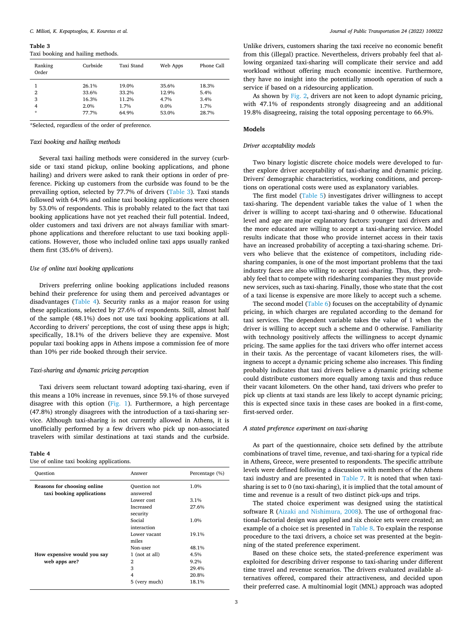<span id="page-2-0"></span>**Table 3**

|  |  |  |  | Taxi booking and hailing methods. |  |
|--|--|--|--|-----------------------------------|--|
|--|--|--|--|-----------------------------------|--|

| Ranking<br>Order | Curbside | Taxi Stand | Web Apps | Phone Call |
|------------------|----------|------------|----------|------------|
| 1                | 26.1%    | 19.0%      | 35.6%    | 18.3%      |
| 2                | 33.6%    | 33.2%      | 12.9%    | 5.4%       |
| 3                | 16.3%    | 11.2%      | 4.7%     | 3.4%       |
| 4                | 2.0%     | 1.7%       | $0.0\%$  | 1.7%       |
| $\star$          | 77.7%    | 64.9%      | 53.0%    | 28.7%      |

\*Selected, regardless of the order of preference.

## *Taxi booking and hailing methods*

Several taxi hailing methods were considered in the survey (curbside or taxi stand pickup, online booking applications, and phone hailing) and drivers were asked to rank their options in order of preference. Picking up customers from the curbside was found to be the prevailing option, selected by 77.7% of drivers ([Table](#page-2-0) 3). Taxi stands followed with 64.9% and online taxi booking applications were chosen by 53.0% of respondents. This is probably related to the fact that taxi booking applications have not yet reached their full potential. Indeed, older customers and taxi drivers are not always familiar with smartphone applications and therefore reluctant to use taxi booking applications. However, those who included online taxi apps usually ranked them first (35.6% of drivers).

# *Use of online taxi booking applications*

Drivers preferring online booking applications included reasons behind their preference for using them and perceived advantages or disadvantages ([Table](#page-2-1) 4). Security ranks as a major reason for using these applications, selected by 27.6% of respondents. Still, almost half of the sample (48.1%) does not use taxi booking applications at all. According to drivers' perceptions, the cost of using these apps is high; specifically, 18.1% of the drivers believe they are expensive. Most popular taxi booking apps in Athens impose a commission fee of more than 10% per ride booked through their service.

# *Taxi-sharing and dynamic pricing perception*

Taxi drivers seem reluctant toward adopting taxi-sharing, even if this means a 10% increase in revenues, since 59.1% of those surveyed disagree with this option [\(Fig.](#page-3-0) 1). Furthermore, a high percentage (47.8%) strongly disagrees with the introduction of a taxi-sharing service. Although taxi-sharing is not currently allowed in Athens, it is unofficially performed by a few drivers who pick up non-associated travelers with similar destinations at taxi stands and the curbside.

#### <span id="page-2-1"></span>**Table 4**

Use of online taxi booking applications.

| Ouestion                                                 | Answer                   | Percentage (%) |
|----------------------------------------------------------|--------------------------|----------------|
| Reasons for choosing online<br>taxi booking applications | Question not<br>answered | 1.0%           |
|                                                          | Lower cost               | 3.1%           |
|                                                          | Increased                | 27.6%          |
|                                                          | security                 |                |
|                                                          | Social                   | 1.0%           |
|                                                          | interaction              |                |
|                                                          | Lower vacant<br>miles    | 19.1%          |
|                                                          | Non-user                 | 48.1%          |
| How expensive would you say                              | 1 (not at all)           | 4.5%           |
| web apps are?                                            | 2                        | $9.2\%$        |
|                                                          | 3                        | 29.4%          |
|                                                          | 4                        | 20.8%          |
|                                                          | 5 (very much)            | 18.1%          |

Unlike drivers, customers sharing the taxi receive no economic benefit from this (illegal) practice. Nevertheless, drivers probably feel that allowing organized taxi-sharing will complicate their service and add workload without offering much economic incentive. Furthermore, they have no insight into the potentially smooth operation of such a service if based on a ridesourcing application.

As shown by [Fig.](#page-3-1) 2, drivers are not keen to adopt dynamic pricing, with 47.1% of respondents strongly disagreeing and an additional 19.8% disagreeing, raising the total opposing percentage to 66.9%.

# **Models**

#### *Driver acceptability models*

Two binary logistic discrete choice models were developed to further explore driver acceptability of taxi-sharing and dynamic pricing. Drivers' demographic characteristics, working conditions, and perceptions on operational costs were used as explanatory variables.

The first model [\(Table](#page-3-2) 5) investigates driver willingness to accept taxi-sharing. The dependent variable takes the value of 1 when the driver is willing to accept taxi-sharing and 0 otherwise. Educational level and age are major explanatory factors: younger taxi drivers and the more educated are willing to accept a taxi-sharing service. Model results indicate that those who provide internet access in their taxis have an increased probability of accepting a taxi-sharing scheme. Drivers who believe that the existence of competitors, including ridesharing companies, is one of the most important problems that the taxi industry faces are also willing to accept taxi-sharing. Thus, they probably feel that to compete with ridesharing companies they must provide new services, such as taxi-sharing. Finally, those who state that the cost of a taxi license is expensive are more likely to accept such a scheme.

The second model [\(Table](#page-3-3) 6) focuses on the acceptability of dynamic pricing, in which charges are regulated according to the demand for taxi services. The dependent variable takes the value of 1 when the driver is willing to accept such a scheme and 0 otherwise. Familiarity with technology positively affects the willingness to accept dynamic pricing. The same applies for the taxi drivers who offer internet access in their taxis. As the percentage of vacant kilometers rises, the willingness to accept a dynamic pricing scheme also increases. This finding probably indicates that taxi drivers believe a dynamic pricing scheme could distribute customers more equally among taxis and thus reduce their vacant kilometers. On the other hand, taxi drivers who prefer to pick up clients at taxi stands are less likely to accept dynamic pricing; this is expected since taxis in these cases are booked in a first-come, first-served order.

# *A stated preference experiment on taxi-sharing*

As part of the questionnaire, choice sets defined by the attribute combinations of travel time, revenue, and taxi-sharing for a typical ride in Athens, Greece, were presented to respondents. The specific attribute levels were defined following a discussion with members of the Athens taxi industry and are presented in [Table](#page-4-0) 7. It is noted that when taxisharing is set to 0 (no taxi-sharing), it is implied that the total amount of time and revenue is a result of two distinct pick-ups and trips.

The stated choice experiment was designed using the statistical software R (Aizaki and [Nishimura,](#page-5-16) 2008). The use of orthogonal fractional-factorial design was applied and six choice sets were created; an example of a choice set is presented in [Table](#page-4-1) 8. To explain the response procedure to the taxi drivers, a choice set was presented at the beginning of the stated preference experiment.

Based on these choice sets, the stated-preference experiment was exploited for describing driver response to taxi-sharing under different time travel and revenue scenarios. The drivers evaluated available alternatives offered, compared their attractiveness, and decided upon their preferred case. A multinomial logit (MNL) approach was adopted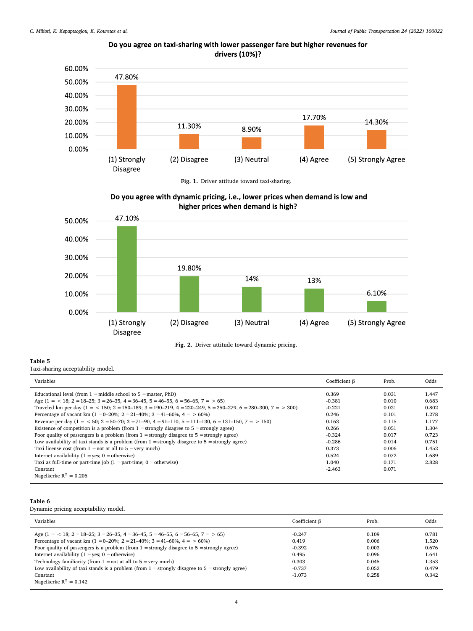<span id="page-3-0"></span>

# Do you agree on taxi-sharing with lower passenger fare but higher revenues for drivers (10%)?

**Fig. 1.** Driver attitude toward taxi-sharing.

<span id="page-3-1"></span>

**Fig. 2.** Driver attitude toward dynamic pricing.

# <span id="page-3-2"></span>**Table 5**

Taxi-sharing acceptability model.

| Variables                                                                                                   | Coefficient $\beta$ | Prob. | Odds  |
|-------------------------------------------------------------------------------------------------------------|---------------------|-------|-------|
| Educational level (from $1 =$ middle school to $5 =$ master, PhD)                                           | 0.369               | 0.031 | 1.447 |
| Age $(1 = 18; 2 = 18-25; 3 = 26-35, 4 = 36-45, 5 = 46-55, 6 = 56-65, 7 = 56)$                               | $-0.381$            | 0.010 | 0.683 |
| Traveled km per day (1 = < 150; 2 = 150-189; 3 = 190-219, 4 = 220-249, 5 = 250-279, 6 = 280-300, 7 = > 300) | $-0.221$            | 0.021 | 0.802 |
| Percentage of vacant km (1 = 0–20%; 2 = 21–40%; 3 = 41–60%, 4 = > 60%)                                      | 0.246               | 0.101 | 1.278 |
| Revenue per day (1 = < 50; 2 = 50–70; 3 = 71–90, 4 = 91–110, 5 = 111–130, 6 = 131–150, 7 = > 150)           | 0.163               | 0.115 | 1.177 |
| Existence of competition is a problem (from $1 =$ strongly disagree to $5 =$ strongly agree)                | 0.266               | 0.051 | 1.304 |
| Poor quality of passengers is a problem (from $1 =$ strongly disagree to $5 =$ strongly agree)              | $-0.324$            | 0.017 | 0.723 |
| Low availability of taxi stands is a problem (from $1 =$ strongly disagree to $5 =$ strongly agree)         | $-0.286$            | 0.014 | 0.751 |
| Taxi license cost (from $1 = not$ at all to $5 = very$ much)                                                | 0.373               | 0.006 | 1.452 |
| Internet availability $(1 = yes; 0 = otherwise)$                                                            | 0.524               | 0.072 | 1.689 |
| Taxi as full-time or part-time job $(1 = part-time; 0 = otherwise)$                                         | 1.040               | 0.171 | 2.828 |
| Constant                                                                                                    | $-2.463$            | 0.071 |       |
| Nagelkerke $R^2 = 0.206$                                                                                    |                     |       |       |

# <span id="page-3-3"></span>**Table 6**

Dynamic pricing acceptability model.

| Variables                                                                                           | Coefficient B | Prob. | Odds  |
|-----------------------------------------------------------------------------------------------------|---------------|-------|-------|
| Age $(1 = < 18; 2 = 18-25; 3 = 26-35, 4 = 36-45, 5 = 46-55, 6 = 56-65, 7 = > 65)$                   | $-0.247$      | 0.109 | 0.781 |
| Percentage of vacant km (1 = 0–20%; 2 = 21–40%; 3 = 41–60%, 4 = > 60%)                              | 0.419         | 0.006 | 1.520 |
| Poor quality of passengers is a problem (from $1 =$ strongly disagree to $5 =$ strongly agree)      | $-0.392$      | 0.003 | 0.676 |
| Internet availability $(1 = yes; 0 = otherwise)$                                                    | 0.495         | 0.096 | 1.641 |
| Technology familiarity (from $1 = not$ at all to $5 = very$ much)                                   | 0.303         | 0.045 | 1.353 |
| Low availability of taxi stands is a problem (from $1 =$ strongly disagree to $5 =$ strongly agree) | $-0.737$      | 0.052 | 0.479 |
| Constant                                                                                            | $-1.073$      | 0.258 | 0.342 |
| Nagelkerke $R^2 = 0.142$                                                                            |               |       |       |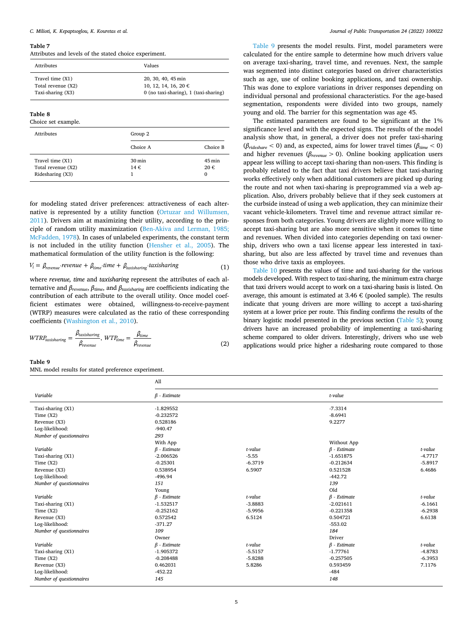#### <span id="page-4-0"></span>**Table 7**

Attributes and levels of the stated choice experiment.

| Attributes         | Values                                |
|--------------------|---------------------------------------|
| Travel time (X1)   | 20, 30, 40, 45 min                    |
| Total revenue (X2) | 10, 12, 14, 16, 20 $\in$              |
| Taxi-sharing (X3)  | 0 (no taxi-sharing), 1 (taxi-sharing) |

#### <span id="page-4-1"></span>**Table 8**

Choice set example.

| <b>Attributes</b>                                          | Group 2                    |                    |
|------------------------------------------------------------|----------------------------|--------------------|
|                                                            | Choice A                   | Choice B           |
| Travel time (X1)<br>Total revenue (X2)<br>Ridesharing (X3) | $30 \,\mathrm{min}$<br>14€ | 45 min<br>20€<br>0 |

for modeling stated driver preferences: attractiveness of each alternative is represented by a utility function (Ortuzar and [Willumsen,](#page-5-17) [2011\)](#page-5-17). Drivers aim at maximizing their utility, according to the principle of random utility maximization ([Ben-Akiva](#page-5-18) and Lerman, 1985; [McFadden,](#page-5-18) 1978). In cases of unlabeled experiments, the constant term is not included in the utility function ([Hensher](#page-5-19) et al., 2005). The mathematical formulation of the utility function is the following:

$$
V_i = \beta_{revenue} \text{ revenue} + \beta_{time} \text{ time} + \beta_{taxisharing} \text{ taxisharing}
$$
 (1)

where *revenue, time* and *taxisharing* represent the attributes of each alternative and *βrevenue*, *βtime*, and *βtaxisharing* are coefficients indicating the contribution of each attribute to the overall utility. Once model coefficient estimates were obtained, willingness-to-receive-payment (WTRP) measures were calculated as the ratio of these corresponding coefficients [\(Washington](#page-5-20) et al., 2010).

$$
WTRP_{taxisharing} = \frac{\beta_{taxisharing}}{\beta_{revenue}}, WTP_{time} = \frac{\beta_{time}}{\beta_{revenue}}
$$
\n(2)

#### <span id="page-4-2"></span>**Table 9**

MNL model results for stated preference experiment.

[Table](#page-4-2) 9 presents the model results. First, model parameters were calculated for the entire sample to determine how much drivers value on average taxi-sharing, travel time, and revenues. Next, the sample was segmented into distinct categories based on driver characteristics such as age, use of online booking applications, and taxi ownership. This was done to explore variations in driver responses depending on individual personal and professional characteristics. For the age-based segmentation, respondents were divided into two groups, namely young and old. The barrier for this segmentation was age 45.

The estimated parameters are found to be significant at the 1% significance level and with the expected signs. The results of the model analysis show that, in general, a driver does not prefer taxi-sharing ( $\beta_{ridge}$  < 0) and, as expected, aims for lower travel times ( $\beta_{time}$  < 0) and higher revenues ( $\beta_{revenue} > 0$ ). Online booking application users appear less willing to accept taxi-sharing than non-users. This finding is probably related to the fact that taxi drivers believe that taxi-sharing works effectively only when additional customers are picked up during the route and not when taxi-sharing is preprogrammed via a web application. Also, drivers probably believe that if they seek customers at the curbside instead of using a web application, they can minimize their vacant vehicle-kilometers. Travel time and revenue attract similar responses from both categories. Young drivers are slightly more willing to accept taxi-sharing but are also more sensitive when it comes to time and revenues. When divided into categories depending on taxi ownership, drivers who own a taxi license appear less interested in taxisharing, but also are less affected by travel time and revenues than those who drive taxis as employees.

[Table](#page-5-21) 10 presents the values of time and taxi-sharing for the various models developed. With respect to taxi-sharing, the minimum extra charge that taxi drivers would accept to work on a taxi-sharing basis is listed. On average, this amount is estimated at  $3.46 \in$  (pooled sample). The results indicate that young drivers are more willing to accept a taxi-sharing system at a lower price per route. This finding confirms the results of the binary logistic model presented in the previous section ([Table](#page-3-2) 5); young drivers have an increased probability of implementing a taxi-sharing scheme compared to older drivers. Interestingly, drivers who use web applications would price higher a ridesharing route compared to those

|                          | All                |           |                    |           |
|--------------------------|--------------------|-----------|--------------------|-----------|
| Variable                 | $\beta$ - Estimate |           | t-value            |           |
| Taxi-sharing (X1)        | $-1.829552$        |           | $-7.3314$          |           |
| Time $(X2)$              | $-0.232572$        |           | $-8.6941$          |           |
| Revenue (X3)             | 0.528186           |           | 9.2277             |           |
| Log-likelihood:          | $-940.47$          |           |                    |           |
| Number of questionnaires | 293                |           |                    |           |
|                          | With App           |           | Without App        |           |
| Variable                 | $\beta$ - Estimate | t-value   | $\beta$ - Estimate | t-value   |
| Taxi-sharing (X1)        | $-2.006526$        | $-5.55$   | $-1.651875$        | $-4.7717$ |
| Time $(X2)$              | $-0.25301$         | $-6.3719$ | $-0.212634$        | $-5.8917$ |
| Revenue (X3)             | 0.538954           | 6.5907    | 0.521528           | 6.4686    |
| Log-likelihood:          | $-496.94$          |           | $-442.72$          |           |
| Number of questionnaires | 151                |           | 139                |           |
|                          | Young              |           | Old                |           |
| Variable                 | $\beta$ - Estimate | t-value   | $\beta$ - Estimate | t-value   |
| Taxi-sharing (X1)        | $-1.532517$        | $-3.8883$ | $-2.021611$        | $-6.1661$ |
| Time $(X2)$              | $-0.252162$        | $-5.9956$ | $-0.221358$        | $-6.2938$ |
| Revenue (X3)             | 0.572542           | 6.5124    | 0.504721           | 6.6138    |
| Log-likelihood:          | $-371.27$          |           | $-553.02$          |           |
| Number of questionnaires | 109                |           | 184                |           |
|                          | Owner              |           | Driver             |           |
| Variable                 | $\beta$ - Estimate | t-value   | $\beta$ - Estimate | t-value   |
| Taxi-sharing (X1)        | $-1.905372$        | $-5.5157$ | $-1.77761$         | $-4.8783$ |
| Time $(X2)$              | $-0.208488$        | $-5.8288$ | $-0.257505$        | $-6.3953$ |
| Revenue (X3)             | 0.462031           | 5.8286    | 0.593459           | 7.1176    |
| Log-likelihood:          | $-452.22$          |           | $-484$             |           |
| Number of questionnaires | 145                |           | 148                |           |